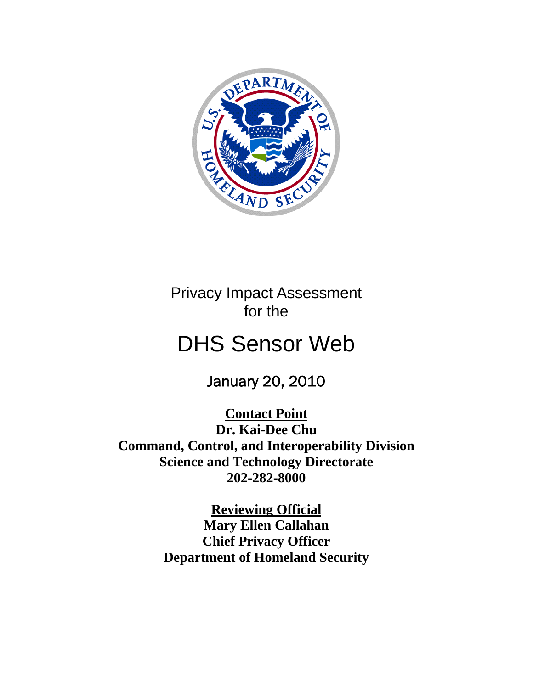

Privacy Impact Assessment for the

# DHS Sensor Web

January 20, 2010

**Contact Point Dr. Kai-Dee Chu Command, Control, and Interoperability Division Science and Technology Directorate 202-282-8000** 

> **Reviewing Official Mary Ellen Callahan Chief Privacy Officer Department of Homeland Security**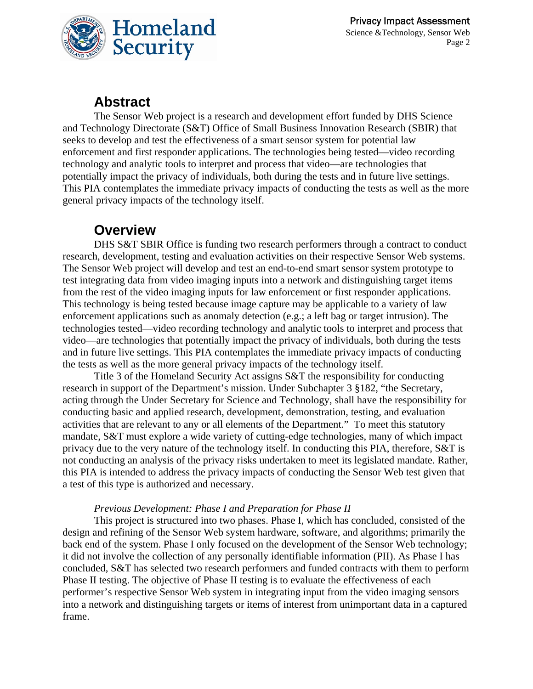

### **Abstract**

The Sensor Web project is a research and development effort funded by DHS Science and Technology Directorate (S&T) Office of Small Business Innovation Research (SBIR) that seeks to develop and test the effectiveness of a smart sensor system for potential law enforcement and first responder applications. The technologies being tested—video recording technology and analytic tools to interpret and process that video—are technologies that potentially impact the privacy of individuals, both during the tests and in future live settings. This PIA contemplates the immediate privacy impacts of conducting the tests as well as the more general privacy impacts of the technology itself.

### **Overview**

DHS S&T SBIR Office is funding two research performers through a contract to conduct research, development, testing and evaluation activities on their respective Sensor Web systems. The Sensor Web project will develop and test an end-to-end smart sensor system prototype to test integrating data from video imaging inputs into a network and distinguishing target items from the rest of the video imaging inputs for law enforcement or first responder applications. This technology is being tested because image capture may be applicable to a variety of law enforcement applications such as anomaly detection (e.g.; a left bag or target intrusion). The technologies tested—video recording technology and analytic tools to interpret and process that video—are technologies that potentially impact the privacy of individuals, both during the tests and in future live settings. This PIA contemplates the immediate privacy impacts of conducting the tests as well as the more general privacy impacts of the technology itself.

Title 3 of the Homeland Security Act assigns S&T the responsibility for conducting research in support of the Department's mission. Under Subchapter 3 §182, "the Secretary, acting through the Under Secretary for Science and Technology, shall have the responsibility for conducting basic and applied research, development, demonstration, testing, and evaluation activities that are relevant to any or all elements of the Department." To meet this statutory mandate, S&T must explore a wide variety of cutting-edge technologies, many of which impact privacy due to the very nature of the technology itself. In conducting this PIA, therefore, S&T is not conducting an analysis of the privacy risks undertaken to meet its legislated mandate. Rather, this PIA is intended to address the privacy impacts of conducting the Sensor Web test given that a test of this type is authorized and necessary.

#### *Previous Development: Phase I and Preparation for Phase II*

This project is structured into two phases. Phase I, which has concluded, consisted of the design and refining of the Sensor Web system hardware, software, and algorithms; primarily the back end of the system. Phase I only focused on the development of the Sensor Web technology; it did not involve the collection of any personally identifiable information (PII). As Phase I has concluded, S&T has selected two research performers and funded contracts with them to perform Phase II testing. The objective of Phase II testing is to evaluate the effectiveness of each performer's respective Sensor Web system in integrating input from the video imaging sensors into a network and distinguishing targets or items of interest from unimportant data in a captured frame.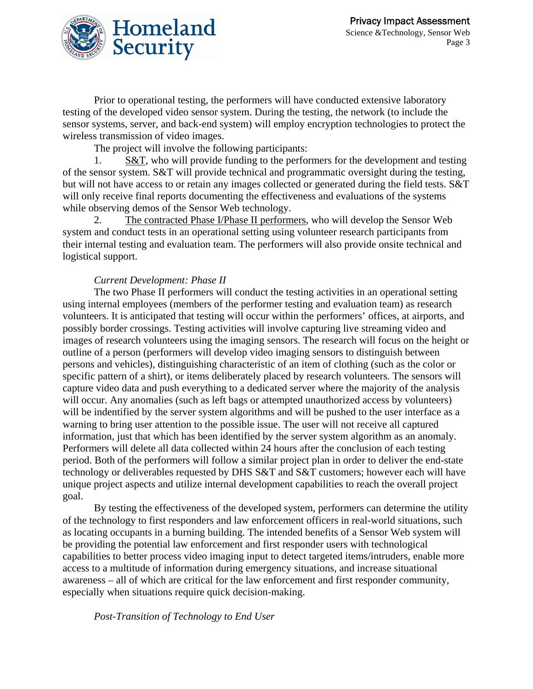

Prior to operational testing, the performers will have conducted extensive laboratory testing of the developed video sensor system. During the testing, the network (to include the sensor systems, server, and back-end system) will employ encryption technologies to protect the wireless transmission of video images.

The project will involve the following participants:

1. S&T, who will provide funding to the performers for the development and testing of the sensor system. S&T will provide technical and programmatic oversight during the testing, but will not have access to or retain any images collected or generated during the field tests. S&T will only receive final reports documenting the effectiveness and evaluations of the systems while observing demos of the Sensor Web technology.

2. The contracted Phase I/Phase II performers, who will develop the Sensor Web system and conduct tests in an operational setting using volunteer research participants from their internal testing and evaluation team. The performers will also provide onsite technical and logistical support.

#### *Current Development: Phase II*

The two Phase II performers will conduct the testing activities in an operational setting using internal employees (members of the performer testing and evaluation team) as research volunteers. It is anticipated that testing will occur within the performers' offices, at airports, and possibly border crossings. Testing activities will involve capturing live streaming video and images of research volunteers using the imaging sensors. The research will focus on the height or outline of a person (performers will develop video imaging sensors to distinguish between persons and vehicles), distinguishing characteristic of an item of clothing (such as the color or specific pattern of a shirt), or items deliberately placed by research volunteers. The sensors will capture video data and push everything to a dedicated server where the majority of the analysis will occur. Any anomalies (such as left bags or attempted unauthorized access by volunteers) will be indentified by the server system algorithms and will be pushed to the user interface as a warning to bring user attention to the possible issue. The user will not receive all captured information, just that which has been identified by the server system algorithm as an anomaly. Performers will delete all data collected within 24 hours after the conclusion of each testing period. Both of the performers will follow a similar project plan in order to deliver the end-state technology or deliverables requested by DHS S&T and S&T customers; however each will have unique project aspects and utilize internal development capabilities to reach the overall project goal.

By testing the effectiveness of the developed system, performers can determine the utility of the technology to first responders and law enforcement officers in real-world situations, such as locating occupants in a burning building. The intended benefits of a Sensor Web system will be providing the potential law enforcement and first responder users with technological capabilities to better process video imaging input to detect targeted items/intruders, enable more access to a multitude of information during emergency situations, and increase situational awareness – all of which are critical for the law enforcement and first responder community, especially when situations require quick decision-making.

*Post-Transition of Technology to End User*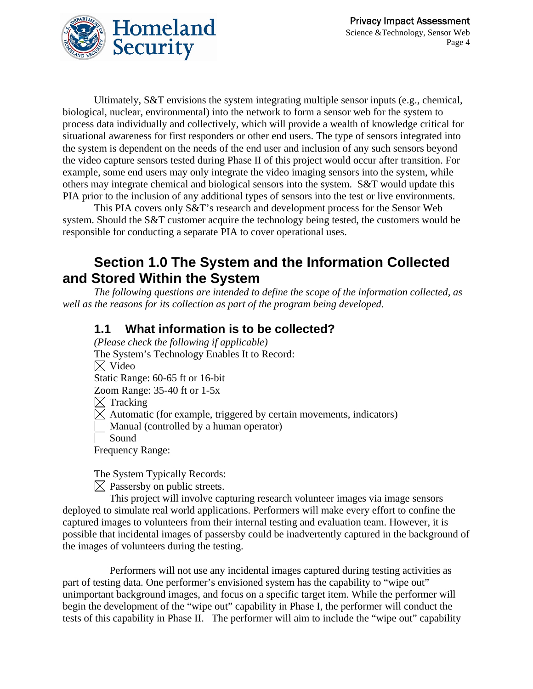

Ultimately, S&T envisions the system integrating multiple sensor inputs (e.g., chemical, biological, nuclear, environmental) into the network to form a sensor web for the system to process data individually and collectively, which will provide a wealth of knowledge critical for situational awareness for first responders or other end users. The type of sensors integrated into the system is dependent on the needs of the end user and inclusion of any such sensors beyond the video capture sensors tested during Phase II of this project would occur after transition. For example, some end users may only integrate the video imaging sensors into the system, while others may integrate chemical and biological sensors into the system. S&T would update this PIA prior to the inclusion of any additional types of sensors into the test or live environments.

This PIA covers only S&T's research and development process for the Sensor Web system. Should the S&T customer acquire the technology being tested, the customers would be responsible for conducting a separate PIA to cover operational uses.

### **Section 1.0 The System and the Information Collected and Stored Within the System**

*The following questions are intended to define the scope of the information collected, as well as the reasons for its collection as part of the program being developed.* 

### **1.1 What information is to be collected?**

*(Please check the following if applicable)*  The System's Technology Enables It to Record:  $\boxtimes$  Video Static Range: 60-65 ft or 16-bit Zoom Range: 35-40 ft or 1-5x  $\boxtimes$  Tracking  $\boxtimes$  Automatic (for example, triggered by certain movements, indicators) Manual (controlled by a human operator) Sound Frequency Range:

The System Typically Records:

 $\boxtimes$  Passersby on public streets.

 This project will involve capturing research volunteer images via image sensors deployed to simulate real world applications. Performers will make every effort to confine the captured images to volunteers from their internal testing and evaluation team. However, it is possible that incidental images of passersby could be inadvertently captured in the background of the images of volunteers during the testing.

 Performers will not use any incidental images captured during testing activities as part of testing data. One performer's envisioned system has the capability to "wipe out" unimportant background images, and focus on a specific target item. While the performer will begin the development of the "wipe out" capability in Phase I, the performer will conduct the tests of this capability in Phase II. The performer will aim to include the "wipe out" capability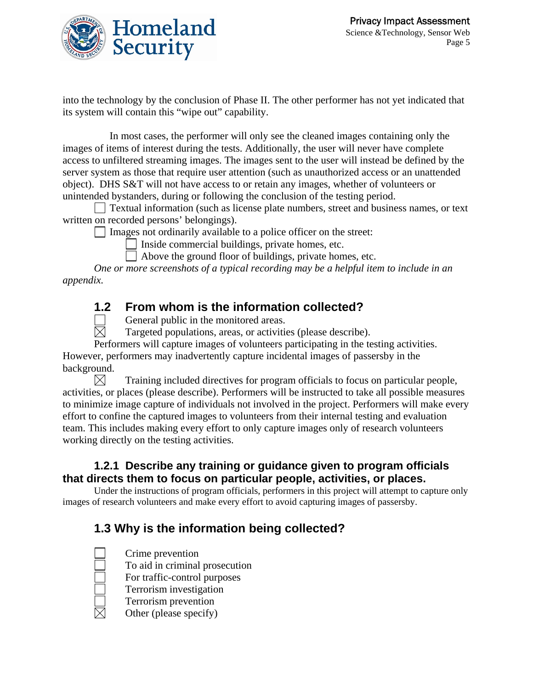

into the technology by the conclusion of Phase II. The other performer has not yet indicated that its system will contain this "wipe out" capability.

 In most cases, the performer will only see the cleaned images containing only the images of items of interest during the tests. Additionally, the user will never have complete access to unfiltered streaming images. The images sent to the user will instead be defined by the server system as those that require user attention (such as unauthorized access or an unattended object). DHS S&T will not have access to or retain any images, whether of volunteers or unintended bystanders, during or following the conclusion of the testing period.

 Textual information (such as license plate numbers, street and business names, or text written on recorded persons' belongings).

 $\Box$  Images not ordinarily available to a police officer on the street:

Inside commercial buildings, private homes, etc.

Above the ground floor of buildings, private homes, etc.

*One or more screenshots of a typical recording may be a helpful item to include in an appendix.* 

### **1.2 From whom is the information collected?**

General public in the monitored areas.<br>  $\boxtimes$  Targeted populations, areas, or activities

Targeted populations, areas, or activities (please describe).

Performers will capture images of volunteers participating in the testing activities. However, performers may inadvertently capture incidental images of passersby in the background.

 $\boxtimes$  Training included directives for program officials to focus on particular people, activities, or places (please describe). Performers will be instructed to take all possible measures to minimize image capture of individuals not involved in the project. Performers will make every effort to confine the captured images to volunteers from their internal testing and evaluation team. This includes making every effort to only capture images only of research volunteers working directly on the testing activities.

#### **1.2.1 Describe any training or guidance given to program officials that directs them to focus on particular people, activities, or places.**

Under the instructions of program officials, performers in this project will attempt to capture only images of research volunteers and make every effort to avoid capturing images of passersby.

### **1.3 Why is the information being collected?**

Crime prevention

To aid in criminal prosecution

For traffic-control purposes

Terrorism investigation

- Terrorism prevention
- Other (please specify)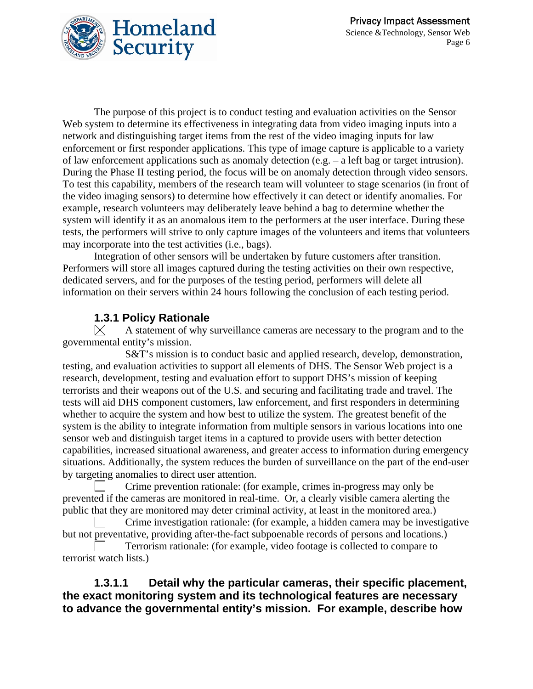

The purpose of this project is to conduct testing and evaluation activities on the Sensor Web system to determine its effectiveness in integrating data from video imaging inputs into a network and distinguishing target items from the rest of the video imaging inputs for law enforcement or first responder applications. This type of image capture is applicable to a variety of law enforcement applications such as anomaly detection (e.g. – a left bag or target intrusion). During the Phase II testing period, the focus will be on anomaly detection through video sensors. To test this capability, members of the research team will volunteer to stage scenarios (in front of the video imaging sensors) to determine how effectively it can detect or identify anomalies. For example, research volunteers may deliberately leave behind a bag to determine whether the system will identify it as an anomalous item to the performers at the user interface. During these tests, the performers will strive to only capture images of the volunteers and items that volunteers may incorporate into the test activities (i.e., bags).

Integration of other sensors will be undertaken by future customers after transition. Performers will store all images captured during the testing activities on their own respective, dedicated servers, and for the purposes of the testing period, performers will delete all information on their servers within 24 hours following the conclusion of each testing period.

#### **1.3.1 Policy Rationale**

 $\boxtimes$  A statement of why surveillance cameras are necessary to the program and to the governmental entity's mission.

 S&T's mission is to conduct basic and applied research, develop, demonstration, testing, and evaluation activities to support all elements of DHS. The Sensor Web project is a research, development, testing and evaluation effort to support DHS's mission of keeping terrorists and their weapons out of the U.S. and securing and facilitating trade and travel. The tests will aid DHS component customers, law enforcement, and first responders in determining whether to acquire the system and how best to utilize the system. The greatest benefit of the system is the ability to integrate information from multiple sensors in various locations into one sensor web and distinguish target items in a captured to provide users with better detection capabilities, increased situational awareness, and greater access to information during emergency situations. Additionally, the system reduces the burden of surveillance on the part of the end-user by targeting anomalies to direct user attention.

 Crime prevention rationale: (for example, crimes in-progress may only be prevented if the cameras are monitored in real-time. Or, a clearly visible camera alerting the public that they are monitored may deter criminal activity, at least in the monitored area.)

 Crime investigation rationale: (for example, a hidden camera may be investigative but not preventative, providing after-the-fact subpoenable records of persons and locations.)

 Terrorism rationale: (for example, video footage is collected to compare to terrorist watch lists.)

#### **1.3.1.1 Detail why the particular cameras, their specific placement, the exact monitoring system and its technological features are necessary to advance the governmental entity's mission. For example, describe how**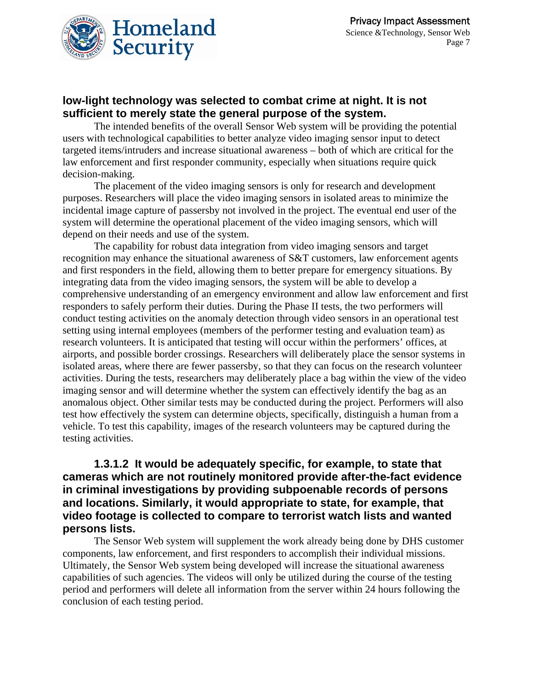

#### **low-light technology was selected to combat crime at night. It is not sufficient to merely state the general purpose of the system.**

The intended benefits of the overall Sensor Web system will be providing the potential users with technological capabilities to better analyze video imaging sensor input to detect targeted items/intruders and increase situational awareness – both of which are critical for the law enforcement and first responder community, especially when situations require quick decision-making.

The placement of the video imaging sensors is only for research and development purposes. Researchers will place the video imaging sensors in isolated areas to minimize the incidental image capture of passersby not involved in the project. The eventual end user of the system will determine the operational placement of the video imaging sensors, which will depend on their needs and use of the system.

The capability for robust data integration from video imaging sensors and target recognition may enhance the situational awareness of S&T customers, law enforcement agents and first responders in the field, allowing them to better prepare for emergency situations. By integrating data from the video imaging sensors, the system will be able to develop a comprehensive understanding of an emergency environment and allow law enforcement and first responders to safely perform their duties. During the Phase II tests, the two performers will conduct testing activities on the anomaly detection through video sensors in an operational test setting using internal employees (members of the performer testing and evaluation team) as research volunteers. It is anticipated that testing will occur within the performers' offices, at airports, and possible border crossings. Researchers will deliberately place the sensor systems in isolated areas, where there are fewer passersby, so that they can focus on the research volunteer activities. During the tests, researchers may deliberately place a bag within the view of the video imaging sensor and will determine whether the system can effectively identify the bag as an anomalous object. Other similar tests may be conducted during the project. Performers will also test how effectively the system can determine objects, specifically, distinguish a human from a vehicle. To test this capability, images of the research volunteers may be captured during the testing activities.

#### **1.3.1.2 It would be adequately specific, for example, to state that cameras which are not routinely monitored provide after-the-fact evidence in criminal investigations by providing subpoenable records of persons and locations. Similarly, it would appropriate to state, for example, that video footage is collected to compare to terrorist watch lists and wanted persons lists.**

The Sensor Web system will supplement the work already being done by DHS customer components, law enforcement, and first responders to accomplish their individual missions. Ultimately, the Sensor Web system being developed will increase the situational awareness capabilities of such agencies. The videos will only be utilized during the course of the testing period and performers will delete all information from the server within 24 hours following the conclusion of each testing period.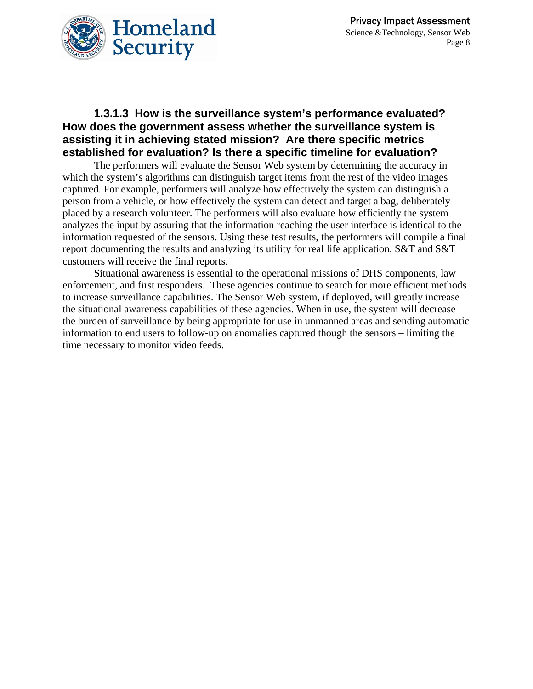

#### **1.3.1.3 How is the surveillance system's performance evaluated? How does the government assess whether the surveillance system is assisting it in achieving stated mission? Are there specific metrics established for evaluation? Is there a specific timeline for evaluation?**

The performers will evaluate the Sensor Web system by determining the accuracy in which the system's algorithms can distinguish target items from the rest of the video images captured. For example, performers will analyze how effectively the system can distinguish a person from a vehicle, or how effectively the system can detect and target a bag, deliberately placed by a research volunteer. The performers will also evaluate how efficiently the system analyzes the input by assuring that the information reaching the user interface is identical to the information requested of the sensors. Using these test results, the performers will compile a final report documenting the results and analyzing its utility for real life application. S&T and S&T customers will receive the final reports.

Situational awareness is essential to the operational missions of DHS components, law enforcement, and first responders. These agencies continue to search for more efficient methods to increase surveillance capabilities. The Sensor Web system, if deployed, will greatly increase the situational awareness capabilities of these agencies. When in use, the system will decrease the burden of surveillance by being appropriate for use in unmanned areas and sending automatic information to end users to follow-up on anomalies captured though the sensors – limiting the time necessary to monitor video feeds.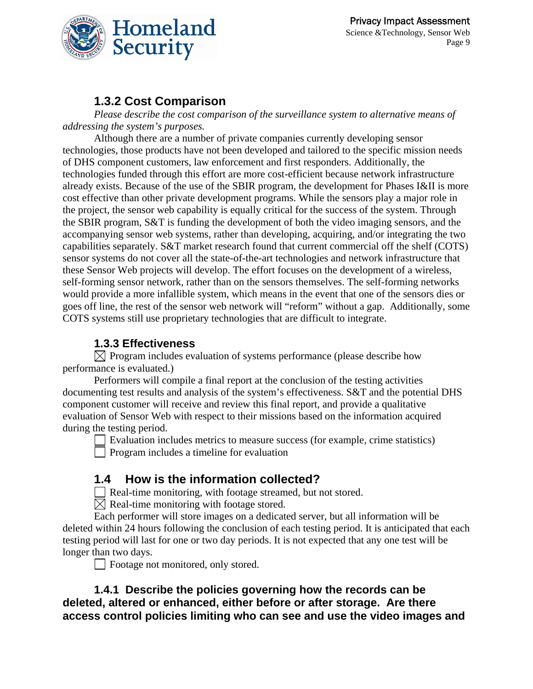

### **1.3.2 Cost Comparison**

*Please describe the cost comparison of the surveillance system to alternative means of addressing the system's purposes.* 

Although there are a number of private companies currently developing sensor technologies, those products have not been developed and tailored to the specific mission needs of DHS component customers, law enforcement and first responders. Additionally, the technologies funded through this effort are more cost-efficient because network infrastructure already exists. Because of the use of the SBIR program, the development for Phases I&II is more cost effective than other private development programs. While the sensors play a major role in the project, the sensor web capability is equally critical for the success of the system. Through the SBIR program, S&T is funding the development of both the video imaging sensors, and the accompanying sensor web systems, rather than developing, acquiring, and/or integrating the two capabilities separately. S&T market research found that current commercial off the shelf (COTS) sensor systems do not cover all the state-of-the-art technologies and network infrastructure that these Sensor Web projects will develop. The effort focuses on the development of a wireless, self-forming sensor network, rather than on the sensors themselves. The self-forming networks would provide a more infallible system, which means in the event that one of the sensors dies or goes off line, the rest of the sensor web network will "reform" without a gap. Additionally, some COTS systems still use proprietary technologies that are difficult to integrate.

#### **1.3.3 Effectiveness**

 $\boxtimes$  Program includes evaluation of systems performance (please describe how performance is evaluated.)

Performers will compile a final report at the conclusion of the testing activities documenting test results and analysis of the system's effectiveness. S&T and the potential DHS component customer will receive and review this final report, and provide a qualitative evaluation of Sensor Web with respect to their missions based on the information acquired during the testing period.

 Evaluation includes metrics to measure success (for example, crime statistics) Program includes a timeline for evaluation

### **1.4 How is the information collected?**

Real-time monitoring, with footage streamed, but not stored.

 $\boxtimes$  Real-time monitoring with footage stored.

Each performer will store images on a dedicated server, but all information will be deleted within 24 hours following the conclusion of each testing period. It is anticipated that each testing period will last for one or two day periods. It is not expected that any one test will be longer than two days.

Footage not monitored, only stored.

**1.4.1 Describe the policies governing how the records can be deleted, altered or enhanced, either before or after storage. Are there access control policies limiting who can see and use the video images and**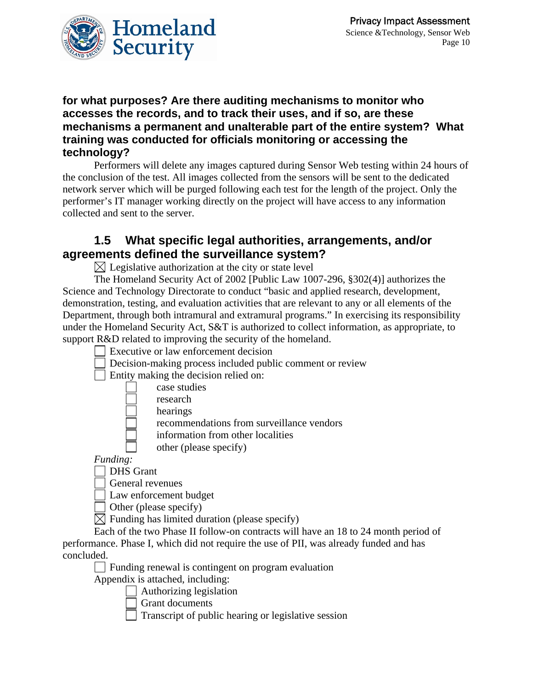

#### **for what purposes? Are there auditing mechanisms to monitor who accesses the records, and to track their uses, and if so, are these mechanisms a permanent and unalterable part of the entire system? What training was conducted for officials monitoring or accessing the technology?**

Performers will delete any images captured during Sensor Web testing within 24 hours of the conclusion of the test. All images collected from the sensors will be sent to the dedicated network server which will be purged following each test for the length of the project. Only the performer's IT manager working directly on the project will have access to any information collected and sent to the server.

### **1.5 What specific legal authorities, arrangements, and/or agreements defined the surveillance system?**

 $\boxtimes$  Legislative authorization at the city or state level

The Homeland Security Act of 2002 [Public Law 1007-296, §302(4)] authorizes the Science and Technology Directorate to conduct "basic and applied research, development, demonstration, testing, and evaluation activities that are relevant to any or all elements of the Department, through both intramural and extramural programs." In exercising its responsibility under the Homeland Security Act, S&T is authorized to collect information, as appropriate, to support R&D related to improving the security of the homeland.

- Executive or law enforcement decision
- Decision-making process included public comment or review

Entity making the decision relied on:

- case studies
- research
- hearings

recommendations from surveillance vendors

information from other localities

other (please specify)

*Funding:* 

DHS Grant

General revenues

Law enforcement budget

Other (please specify)

 $\overline{\boxtimes}$  Funding has limited duration (please specify)

Each of the two Phase II follow-on contracts will have an 18 to 24 month period of performance. Phase I, which did not require the use of PII, was already funded and has concluded.

Funding renewal is contingent on program evaluation

Appendix is attached, including:

 $\Box$  Authorizing legislation

Grant documents

 $\Box$  Transcript of public hearing or legislative session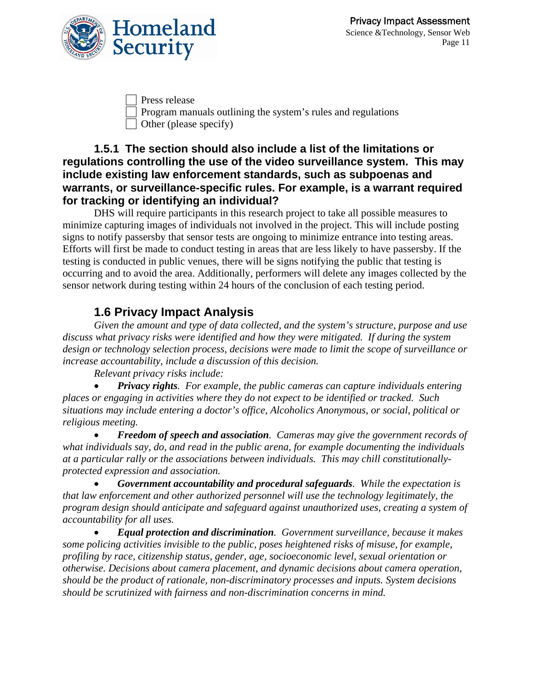

 Press release Program manuals outlining the system's rules and regulations Other (please specify)

#### **1.5.1 The section should also include a list of the limitations or regulations controlling the use of the video surveillance system. This may include existing law enforcement standards, such as subpoenas and warrants, or surveillance-specific rules. For example, is a warrant required for tracking or identifying an individual?**

DHS will require participants in this research project to take all possible measures to minimize capturing images of individuals not involved in the project. This will include posting signs to notify passersby that sensor tests are ongoing to minimize entrance into testing areas. Efforts will first be made to conduct testing in areas that are less likely to have passersby. If the testing is conducted in public venues, there will be signs notifying the public that testing is occurring and to avoid the area. Additionally, performers will delete any images collected by the sensor network during testing within 24 hours of the conclusion of each testing period.

### **1.6 Privacy Impact Analysis**

*Given the amount and type of data collected, and the system's structure, purpose and use discuss what privacy risks were identified and how they were mitigated. If during the system design or technology selection process, decisions were made to limit the scope of surveillance or increase accountability, include a discussion of this decision.* 

*Relevant privacy risks include:* 

• *Privacy rights. For example, the public cameras can capture individuals entering places or engaging in activities where they do not expect to be identified or tracked. Such situations may include entering a doctor's office, Alcoholics Anonymous, or social, political or religious meeting.* 

• *Freedom of speech and association. Cameras may give the government records of what individuals say, do, and read in the public arena, for example documenting the individuals at a particular rally or the associations between individuals. This may chill constitutionallyprotected expression and association.* 

• *Government accountability and procedural safeguards. While the expectation is that law enforcement and other authorized personnel will use the technology legitimately, the program design should anticipate and safeguard against unauthorized uses, creating a system of accountability for all uses.* 

• *Equal protection and discrimination. Government surveillance, because it makes some policing activities invisible to the public, poses heightened risks of misuse, for example, profiling by race, citizenship status, gender, age, socioeconomic level, sexual orientation or otherwise. Decisions about camera placement, and dynamic decisions about camera operation, should be the product of rationale, non-discriminatory processes and inputs. System decisions should be scrutinized with fairness and non-discrimination concerns in mind.*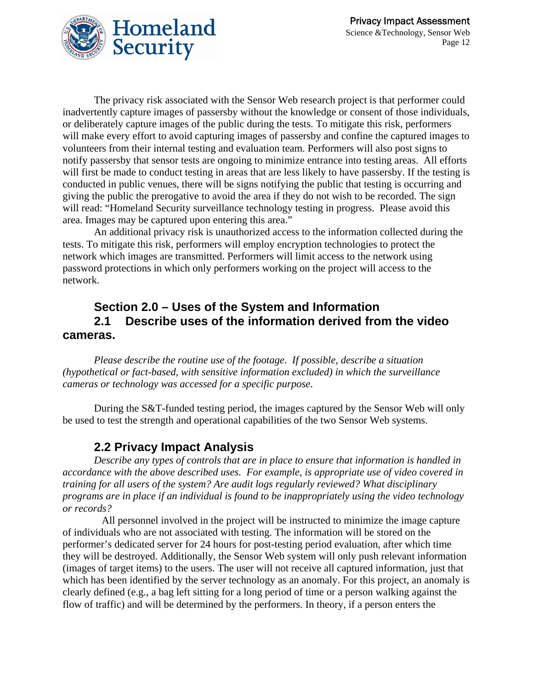

The privacy risk associated with the Sensor Web research project is that performer could inadvertently capture images of passersby without the knowledge or consent of those individuals, or deliberately capture images of the public during the tests. To mitigate this risk, performers will make every effort to avoid capturing images of passersby and confine the captured images to volunteers from their internal testing and evaluation team. Performers will also post signs to notify passersby that sensor tests are ongoing to minimize entrance into testing areas. All efforts will first be made to conduct testing in areas that are less likely to have passersby. If the testing is conducted in public venues, there will be signs notifying the public that testing is occurring and giving the public the prerogative to avoid the area if they do not wish to be recorded. The sign will read: "Homeland Security surveillance technology testing in progress. Please avoid this area. Images may be captured upon entering this area."

An additional privacy risk is unauthorized access to the information collected during the tests. To mitigate this risk, performers will employ encryption technologies to protect the network which images are transmitted. Performers will limit access to the network using password protections in which only performers working on the project will access to the network.

### **Section 2.0 – Uses of the System and Information 2.1 Describe uses of the information derived from the video cameras.**

*Please describe the routine use of the footage. If possible, describe a situation (hypothetical or fact-based, with sensitive information excluded) in which the surveillance cameras or technology was accessed for a specific purpose*.

During the S&T-funded testing period, the images captured by the Sensor Web will only be used to test the strength and operational capabilities of the two Sensor Web systems.

### **2.2 Privacy Impact Analysis**

*Describe any types of controls that are in place to ensure that information is handled in accordance with the above described uses. For example, is appropriate use of video covered in training for all users of the system? Are audit logs regularly reviewed? What disciplinary programs are in place if an individual is found to be inappropriately using the video technology or records?* 

 All personnel involved in the project will be instructed to minimize the image capture of individuals who are not associated with testing. The information will be stored on the performer's dedicated server for 24 hours for post-testing period evaluation, after which time they will be destroyed. Additionally, the Sensor Web system will only push relevant information (images of target items) to the users. The user will not receive all captured information, just that which has been identified by the server technology as an anomaly. For this project, an anomaly is clearly defined (e.g., a bag left sitting for a long period of time or a person walking against the flow of traffic) and will be determined by the performers. In theory, if a person enters the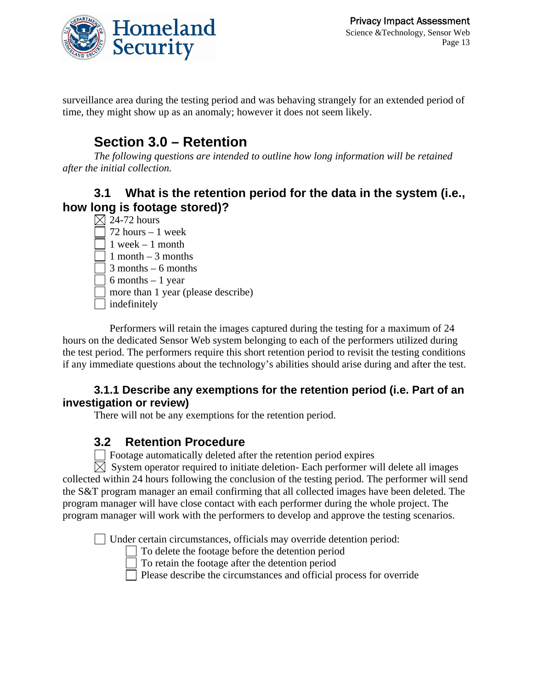

surveillance area during the testing period and was behaving strangely for an extended period of time, they might show up as an anomaly; however it does not seem likely.

# **Section 3.0 – Retention**

*The following questions are intended to outline how long information will be retained after the initial collection.* 

### **3.1 What is the retention period for the data in the system (i.e., how long is footage stored)?**

 $\boxtimes$  24-72 hours  $\sqrt{72}$  hours – 1 week  $\sqrt{1}$  week – 1 month  $\Box$  1 month – 3 months  $\sqrt{3}$  months – 6 months  $\sqrt{6}$  months – 1 year more than 1 year (please describe) | indefinitely

 Performers will retain the images captured during the testing for a maximum of 24 hours on the dedicated Sensor Web system belonging to each of the performers utilized during the test period. The performers require this short retention period to revisit the testing conditions if any immediate questions about the technology's abilities should arise during and after the test.

#### **3.1.1 Describe any exemptions for the retention period (i.e. Part of an investigation or review)**

There will not be any exemptions for the retention period.

### **3.2 Retention Procedure**

 $\Box$  Footage automatically deleted after the retention period expires

 $\boxtimes$  System operator required to initiate deletion- Each performer will delete all images collected within 24 hours following the conclusion of the testing period. The performer will send the S&T program manager an email confirming that all collected images have been deleted. The program manager will have close contact with each performer during the whole project. The program manager will work with the performers to develop and approve the testing scenarios.

Under certain circumstances, officials may override detention period:

To delete the footage before the detention period

To retain the footage after the detention period

 $\Box$  Please describe the circumstances and official process for override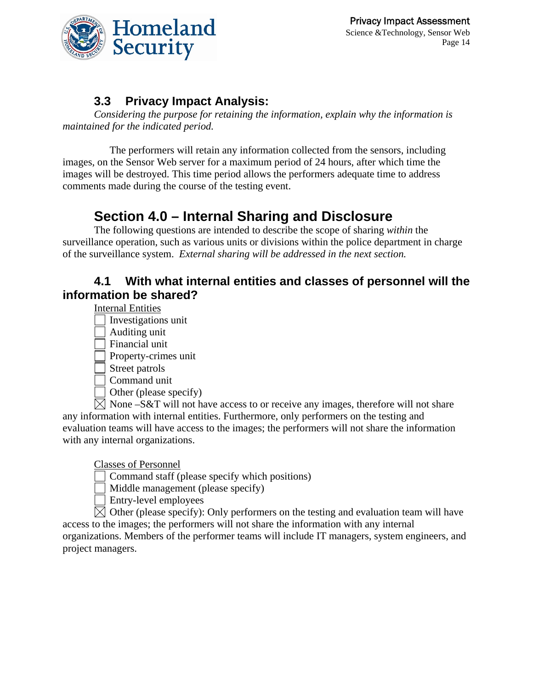

### **3.3 Privacy Impact Analysis:**

*Considering the purpose for retaining the information, explain why the information is maintained for the indicated period.* 

 The performers will retain any information collected from the sensors, including images, on the Sensor Web server for a maximum period of 24 hours, after which time the images will be destroyed. This time period allows the performers adequate time to address comments made during the course of the testing event.

# **Section 4.0 – Internal Sharing and Disclosure**

The following questions are intended to describe the scope of sharing *within* the surveillance operation, such as various units or divisions within the police department in charge of the surveillance system. *External sharing will be addressed in the next section.*

### **4.1 With what internal entities and classes of personnel will the information be shared?**

Internal Entities

Investigations unit

Auditing unit

Financial unit

Property-crimes unit

Street patrols

Command unit

Other (please specify)

 $\boxtimes$  None –S&T will not have access to or receive any images, therefore will not share any information with internal entities. Furthermore, only performers on the testing and evaluation teams will have access to the images; the performers will not share the information with any internal organizations.

Classes of Personnel

Command staff (please specify which positions)

Middle management (please specify)

Entry-level employees

 $\boxtimes$  Other (please specify): Only performers on the testing and evaluation team will have access to the images; the performers will not share the information with any internal organizations. Members of the performer teams will include IT managers, system engineers, and project managers.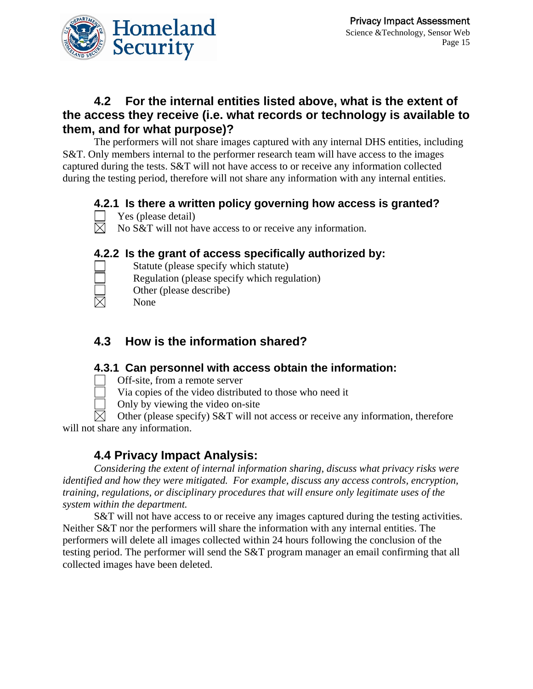

### **4.2 For the internal entities listed above, what is the extent of the access they receive (i.e. what records or technology is available to them, and for what purpose)?**

The performers will not share images captured with any internal DHS entities, including S&T. Only members internal to the performer research team will have access to the images captured during the tests. S&T will not have access to or receive any information collected during the testing period, therefore will not share any information with any internal entities.

### **4.2.1 Is there a written policy governing how access is granted?**

- Yes (please detail)
- $\boxtimes$  No S&T will not have access to or receive any information.

#### **4.2.2 Is the grant of access specifically authorized by:**

- 
- Regulation (please specify which regulation)

Statute (please specify which statute)

- Other (please describe)
- None

### **4.3 How is the information shared?**

#### **4.3.1 Can personnel with access obtain the information:**

- Off-site, from a remote server
	- Via copies of the video distributed to those who need it
	- Only by viewing the video on-site

 Other (please specify) S&T will not access or receive any information, therefore will not share any information.

### **4.4 Privacy Impact Analysis:**

*Considering the extent of internal information sharing, discuss what privacy risks were identified and how they were mitigated. For example, discuss any access controls, encryption, training, regulations, or disciplinary procedures that will ensure only legitimate uses of the system within the department.* 

S&T will not have access to or receive any images captured during the testing activities. Neither S&T nor the performers will share the information with any internal entities. The performers will delete all images collected within 24 hours following the conclusion of the testing period. The performer will send the S&T program manager an email confirming that all collected images have been deleted.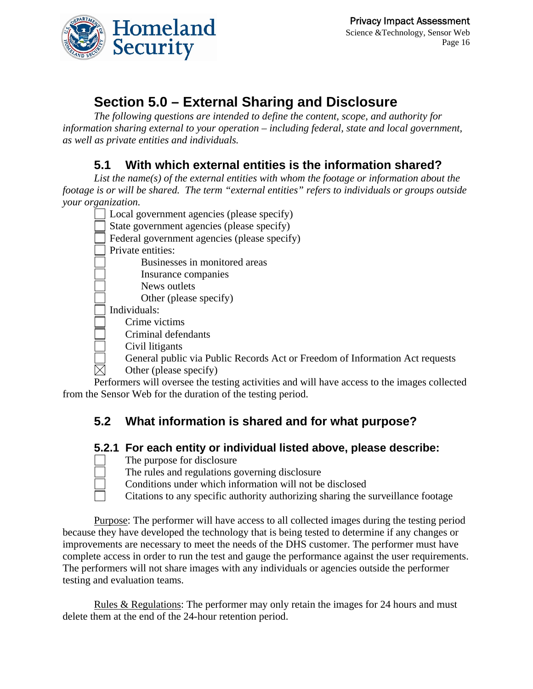

# **Section 5.0 – External Sharing and Disclosure**

*The following questions are intended to define the content, scope, and authority for information sharing external to your operation – including federal, state and local government, as well as private entities and individuals.* 

### **5.1 With which external entities is the information shared?**

*List the name(s) of the external entities with whom the footage or information about the footage is or will be shared. The term "external entities" refers to individuals or groups outside your organization.* 

- Local government agencies (please specify)
- State government agencies (please specify)
- Federal government agencies (please specify)
- Private entities:
	- Businesses in monitored areas
	- Insurance companies
	- News outlets
		- Other (please specify)
- Individuals:
	- Crime victims
- Criminal defendants
- Civil litigants
- General public via Public Records Act or Freedom of Information Act requests
- $\boxtimes$  Other (please specify)

Performers will oversee the testing activities and will have access to the images collected from the Sensor Web for the duration of the testing period.

### **5.2 What information is shared and for what purpose?**

#### **5.2.1 For each entity or individual listed above, please describe:**

- The purpose for disclosure
- The rules and regulations governing disclosure
- Conditions under which information will not be disclosed
- Citations to any specific authority authorizing sharing the surveillance footage

Purpose: The performer will have access to all collected images during the testing period because they have developed the technology that is being tested to determine if any changes or improvements are necessary to meet the needs of the DHS customer. The performer must have complete access in order to run the test and gauge the performance against the user requirements. The performers will not share images with any individuals or agencies outside the performer testing and evaluation teams.

Rules & Regulations: The performer may only retain the images for 24 hours and must delete them at the end of the 24-hour retention period.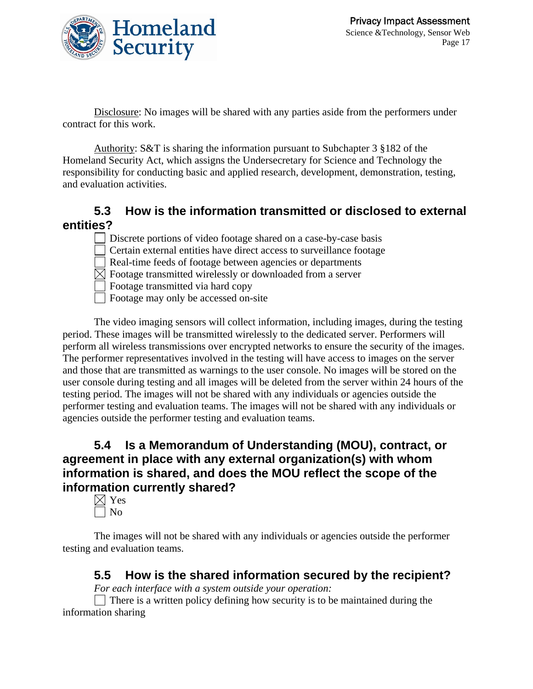

Disclosure: No images will be shared with any parties aside from the performers under contract for this work.

Authority: S&T is sharing the information pursuant to Subchapter 3 §182 of the Homeland Security Act, which assigns the Undersecretary for Science and Technology the responsibility for conducting basic and applied research, development, demonstration, testing, and evaluation activities.

### **5.3 How is the information transmitted or disclosed to external entities?**

Discrete portions of video footage shared on a case-by-case basis Certain external entities have direct access to surveillance footage Real-time feeds of footage between agencies or departments  $\boxtimes$  Footage transmitted wirelessly or downloaded from a server Footage transmitted via hard copy Footage may only be accessed on-site

The video imaging sensors will collect information, including images, during the testing period. These images will be transmitted wirelessly to the dedicated server. Performers will perform all wireless transmissions over encrypted networks to ensure the security of the images. The performer representatives involved in the testing will have access to images on the server and those that are transmitted as warnings to the user console. No images will be stored on the user console during testing and all images will be deleted from the server within 24 hours of the testing period. The images will not be shared with any individuals or agencies outside the performer testing and evaluation teams. The images will not be shared with any individuals or agencies outside the performer testing and evaluation teams.

### **5.4 Is a Memorandum of Understanding (MOU), contract, or agreement in place with any external organization(s) with whom information is shared, and does the MOU reflect the scope of the information currently shared?**

 $\boxtimes$  Yes No

The images will not be shared with any individuals or agencies outside the performer testing and evaluation teams.

### **5.5 How is the shared information secured by the recipient?**

*For each interface with a system outside your operation:* 

 $\Box$  There is a written policy defining how security is to be maintained during the information sharing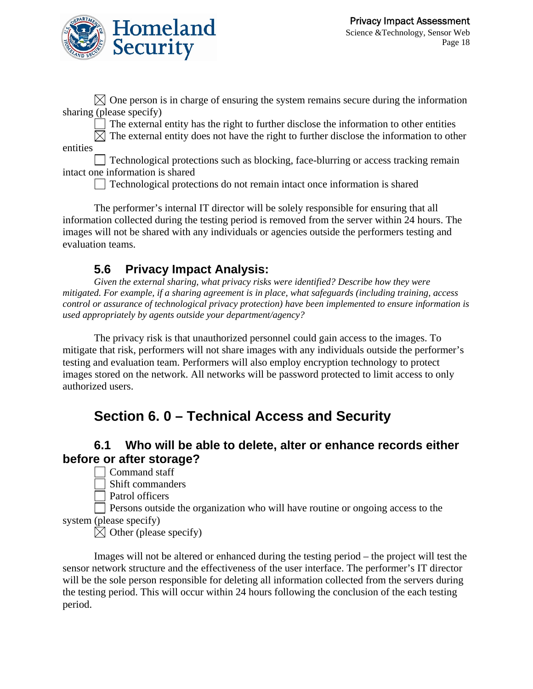

 $\boxtimes$  One person is in charge of ensuring the system remains secure during the information sharing (please specify)

 $\Box$  The external entity has the right to further disclose the information to other entities

 $\boxtimes$  The external entity does not have the right to further disclose the information to other entities

 $\vert$  Technological protections such as blocking, face-blurring or access tracking remain intact one information is shared

Technological protections do not remain intact once information is shared

The performer's internal IT director will be solely responsible for ensuring that all information collected during the testing period is removed from the server within 24 hours. The images will not be shared with any individuals or agencies outside the performers testing and evaluation teams.

### **5.6 Privacy Impact Analysis:**

*Given the external sharing, what privacy risks were identified? Describe how they were mitigated. For example, if a sharing agreement is in place, what safeguards (including training, access control or assurance of technological privacy protection) have been implemented to ensure information is used appropriately by agents outside your department/agency?* 

The privacy risk is that unauthorized personnel could gain access to the images. To mitigate that risk, performers will not share images with any individuals outside the performer's testing and evaluation team. Performers will also employ encryption technology to protect images stored on the network. All networks will be password protected to limit access to only authorized users.

# **Section 6. 0 – Technical Access and Security**

### **6.1 Who will be able to delete, alter or enhance records either before or after storage?**

Command staff

Shift commanders

Patrol officers

 Persons outside the organization who will have routine or ongoing access to the system (please specify)

 $\boxtimes$  Other (please specify)

Images will not be altered or enhanced during the testing period – the project will test the sensor network structure and the effectiveness of the user interface. The performer's IT director will be the sole person responsible for deleting all information collected from the servers during the testing period. This will occur within 24 hours following the conclusion of the each testing period.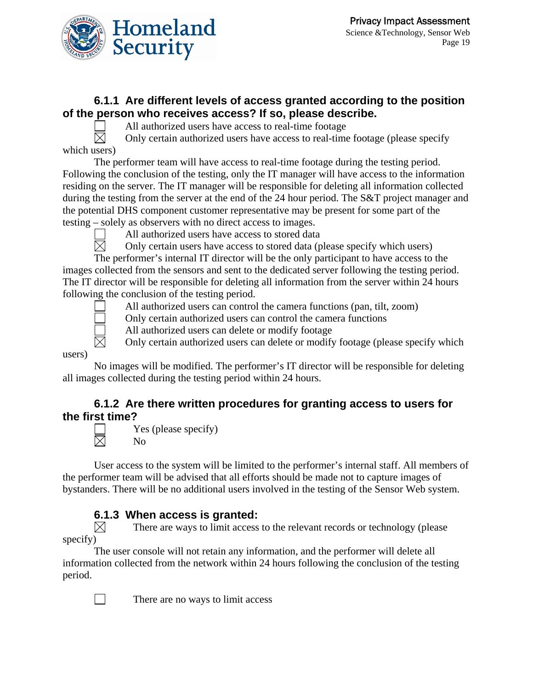

#### **6.1.1 Are different levels of access granted according to the position of the person who receives access? If so, please describe.**

All authorized users have access to real-time footage

 $\boxtimes$  Only certain authorized users have access to real-time footage (please specify which users)

The performer team will have access to real-time footage during the testing period. Following the conclusion of the testing, only the IT manager will have access to the information residing on the server. The IT manager will be responsible for deleting all information collected during the testing from the server at the end of the 24 hour period. The S&T project manager and the potential DHS component customer representative may be present for some part of the testing – solely as observers with no direct access to images.

All authorized users have access to stored data<br>  $\boxtimes$  Only certain users have access to stored data (p

Only certain users have access to stored data (please specify which users)

The performer's internal IT director will be the only participant to have access to the images collected from the sensors and sent to the dedicated server following the testing period. The IT director will be responsible for deleting all information from the server within 24 hours following the conclusion of the testing period.



All authorized users can control the camera functions (pan, tilt, zoom)

Only certain authorized users can control the camera functions

All authorized users can delete or modify footage

Only certain authorized users can delete or modify footage (please specify which

#### users)

No images will be modified. The performer's IT director will be responsible for deleting all images collected during the testing period within 24 hours.

#### **6.1.2 Are there written procedures for granting access to users for the first time?**



 $\Box$  Yes (please specify)<br>
No No

User access to the system will be limited to the performer's internal staff. All members of the performer team will be advised that all efforts should be made not to capture images of bystanders. There will be no additional users involved in the testing of the Sensor Web system.

### **6.1.3 When access is granted:**

 $\boxtimes$  There are ways to limit access to the relevant records or technology (please specify)

The user console will not retain any information, and the performer will delete all information collected from the network within 24 hours following the conclusion of the testing period.



There are no ways to limit access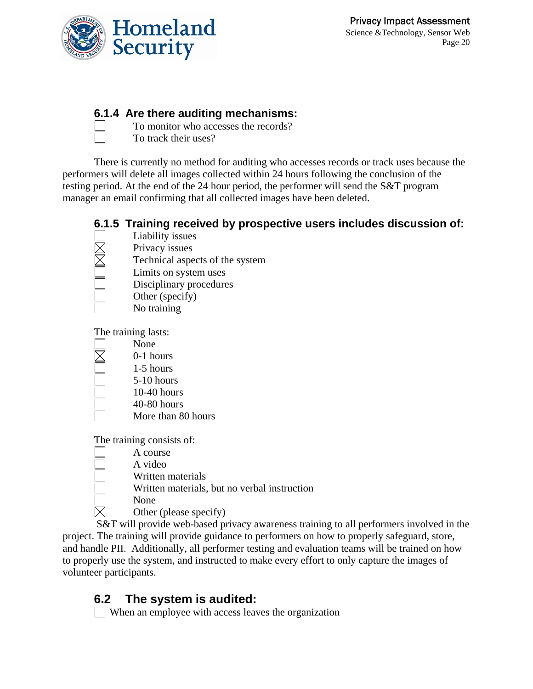

#### **6.1.4 Are there auditing mechanisms:**

 To monitor who accesses the records? To track their uses?

There is currently no method for auditing who accesses records or track uses because the performers will delete all images collected within 24 hours following the conclusion of the testing period. At the end of the 24 hour period, the performer will send the S&T program manager an email confirming that all collected images have been deleted.

#### **6.1.5 Training received by prospective users includes discussion of:**  Liability issues



- Privacy issues Technical aspects of the system
- Limits on system uses
- Disciplinary procedures
- Other (specify)
	- No training

The training lasts:

- None
	- 0-1 hours
	- 1-5 hours
	- 5-10 hours
	- 10-40 hours
	- 40-80 hours
	- More than 80 hours

The training consists of:

- A course
- A video
- Written materials
- Written materials, but no verbal instruction
- $\overline{\boxtimes}$  None<br>Other
	- Other (please specify)

 S&T will provide web-based privacy awareness training to all performers involved in the project. The training will provide guidance to performers on how to properly safeguard, store, and handle PII. Additionally, all performer testing and evaluation teams will be trained on how to properly use the system, and instructed to make every effort to only capture the images of volunteer participants.

## **6.2 The system is audited:**

When an employee with access leaves the organization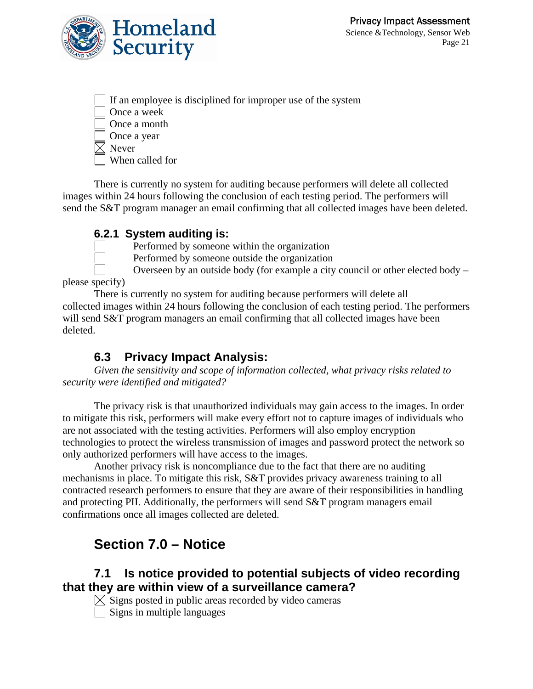

| If an employee is disciplined for improper use of the system |
|--------------------------------------------------------------|
| Once a week                                                  |
| Once a month                                                 |
| Once a year                                                  |
| $\times$ Never                                               |
| When called for                                              |

There is currently no system for auditing because performers will delete all collected images within 24 hours following the conclusion of each testing period. The performers will send the S&T program manager an email confirming that all collected images have been deleted.

#### **6.2.1 System auditing is:**



Performed by someone within the organization

Performed by someone outside the organization

 Overseen by an outside body (for example a city council or other elected body – please specify)

There is currently no system for auditing because performers will delete all collected images within 24 hours following the conclusion of each testing period. The performers will send S&T program managers an email confirming that all collected images have been deleted.

### **6.3 Privacy Impact Analysis:**

*Given the sensitivity and scope of information collected, what privacy risks related to security were identified and mitigated?* 

The privacy risk is that unauthorized individuals may gain access to the images. In order to mitigate this risk, performers will make every effort not to capture images of individuals who are not associated with the testing activities. Performers will also employ encryption technologies to protect the wireless transmission of images and password protect the network so only authorized performers will have access to the images.

Another privacy risk is noncompliance due to the fact that there are no auditing mechanisms in place. To mitigate this risk, S&T provides privacy awareness training to all contracted research performers to ensure that they are aware of their responsibilities in handling and protecting PII. Additionally, the performers will send S&T program managers email confirmations once all images collected are deleted.

# **Section 7.0 – Notice**

### **7.1 Is notice provided to potential subjects of video recording that they are within view of a surveillance camera?**

 $\boxtimes$  Signs posted in public areas recorded by video cameras  $\overline{\Box}$  Signs in multiple languages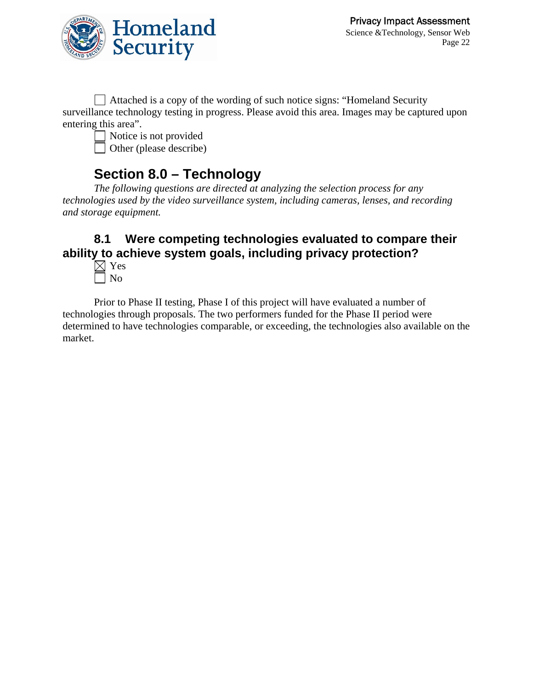

 Attached is a copy of the wording of such notice signs: "Homeland Security surveillance technology testing in progress. Please avoid this area. Images may be captured upon entering this area".

Notice is not provided Other (please describe)

### **Section 8.0 – Technology**

*The following questions are directed at analyzing the selection process for any technologies used by the video surveillance system, including cameras, lenses, and recording and storage equipment.* 

### **8.1 Were competing technologies evaluated to compare their ability to achieve system goals, including privacy protection?**

 $\boxtimes$  Yes No

Prior to Phase II testing, Phase I of this project will have evaluated a number of technologies through proposals. The two performers funded for the Phase II period were determined to have technologies comparable, or exceeding, the technologies also available on the market.